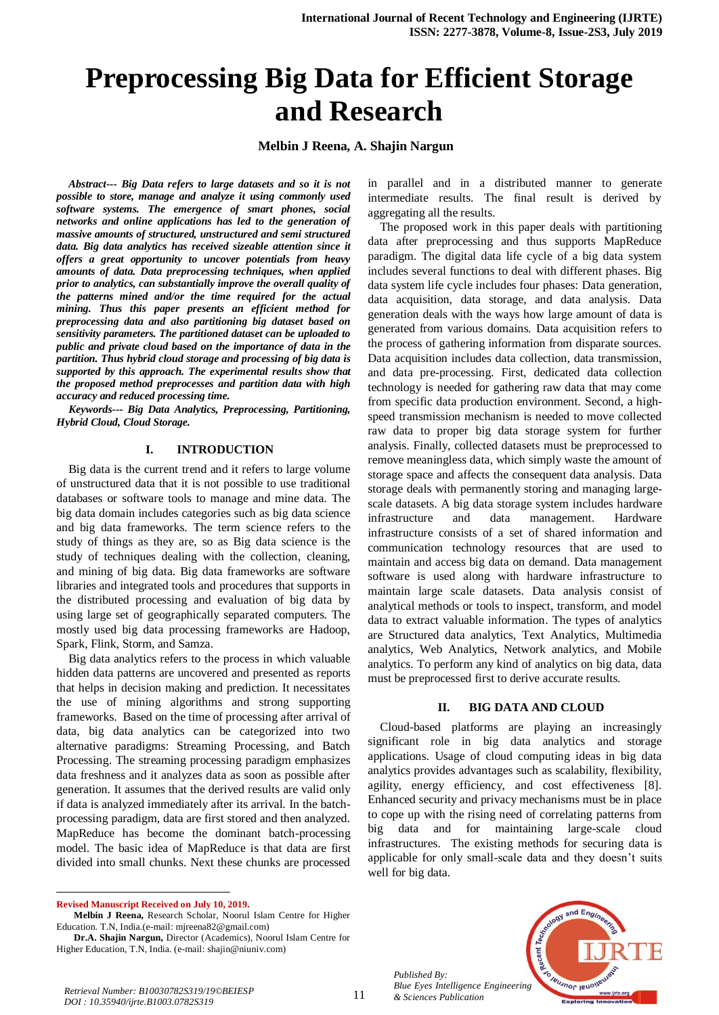# **Preprocessing Big Data for Efficient Storage and Research**

**Melbin J Reena, A. Shajin Nargun** 

*Abstract--- Big Data refers to large datasets and so it is not possible to store, manage and analyze it using commonly used software systems. The emergence of smart phones, social networks and online applications has led to the generation of massive amounts of structured, unstructured and semi structured data. Big data analytics has received sizeable attention since it offers a great opportunity to uncover potentials from heavy amounts of data. Data preprocessing techniques, when applied prior to analytics, can substantially improve the overall quality of the patterns mined and/or the time required for the actual mining. Thus this paper presents an efficient method for preprocessing data and also partitioning big dataset based on sensitivity parameters. The partitioned dataset can be uploaded to public and private cloud based on the importance of data in the partition. Thus hybrid cloud storage and processing of big data is supported by this approach. The experimental results show that the proposed method preprocesses and partition data with high accuracy and reduced processing time.* 

*Keywords--- Big Data Analytics, Preprocessing, Partitioning, Hybrid Cloud, Cloud Storage.*

#### **I. INTRODUCTION**

Big data is the current trend and it refers to large volume of unstructured data that it is not possible to use traditional databases or software tools to manage and mine data. The big data domain includes categories such as big data science and big data frameworks. The term science refers to the study of things as they are, so as Big data science is the study of techniques dealing with the collection, cleaning, and mining of big data. Big data frameworks are software libraries and integrated tools and procedures that supports in the distributed processing and evaluation of big data by using large set of geographically separated computers. The mostly used big data processing frameworks are Hadoop, Spark, Flink, Storm, and Samza.

Big data analytics refers to the process in which valuable hidden data patterns are uncovered and presented as reports that helps in decision making and prediction. It necessitates the use of mining algorithms and strong supporting frameworks. Based on the time of processing after arrival of data, big data analytics can be categorized into two alternative paradigms: Streaming Processing, and Batch Processing. The streaming processing paradigm emphasizes data freshness and it analyzes data as soon as possible after generation. It assumes that the derived results are valid only if data is analyzed immediately after its arrival. In the batchprocessing paradigm, data are first stored and then analyzed. MapReduce has become the dominant batch-processing model. The basic idea of MapReduce is that data are first divided into small chunks. Next these chunks are processed

 $\ddot{\phantom{a}}$ **Revised Manuscript Received on July 10, 2019.** in parallel and in a distributed manner to generate intermediate results. The final result is derived by aggregating all the results.

The proposed work in this paper deals with partitioning data after preprocessing and thus supports MapReduce paradigm. The digital data life cycle of a big data system includes several functions to deal with different phases. Big data system life cycle includes four phases: Data generation, data acquisition, data storage, and data analysis. Data generation deals with the ways how large amount of data is generated from various domains. Data acquisition refers to the process of gathering information from disparate sources. Data acquisition includes data collection, data transmission, and data pre-processing. First, dedicated data collection technology is needed for gathering raw data that may come from specific data production environment. Second, a highspeed transmission mechanism is needed to move collected raw data to proper big data storage system for further analysis. Finally, collected datasets must be preprocessed to remove meaningless data, which simply waste the amount of storage space and affects the consequent data analysis. Data storage deals with permanently storing and managing largescale datasets. A big data storage system includes hardware infrastructure and data management. Hardware infrastructure consists of a set of shared information and communication technology resources that are used to maintain and access big data on demand. Data management software is used along with hardware infrastructure to maintain large scale datasets. Data analysis consist of analytical methods or tools to inspect, transform, and model data to extract valuable information. The types of analytics are Structured data analytics, Text Analytics, Multimedia analytics, Web Analytics, Network analytics, and Mobile analytics. To perform any kind of analytics on big data, data must be preprocessed first to derive accurate results.

# **II. BIG DATA AND CLOUD**

Cloud-based platforms are playing an increasingly significant role in big data analytics and storage applications. Usage of cloud computing ideas in big data analytics provides advantages such as scalability, flexibility, agility, energy efficiency, and cost effectiveness [8]. Enhanced security and privacy mechanisms must be in place to cope up with the rising need of correlating patterns from big data and for maintaining large-scale cloud infrastructures. The existing methods for securing data is applicable for only small-scale data and they doesn't suits well for big data.

*Published By: Blue Eyes Intelligence Engineering* 



**Melbin J Reena,** Research Scholar, Noorul Islam Centre for Higher Education. T.N, India.(e-mail[: mjreena82@gmail.com\)](mailto:mjreena82@gmail.com)

**Dr.A. Shajin Nargun,** Director (Academics), Noorul Islam Centre for Higher Education, T.N, India. (e-mail: [shajin@niuniv.com\)](mailto:shajin@niuniv.com)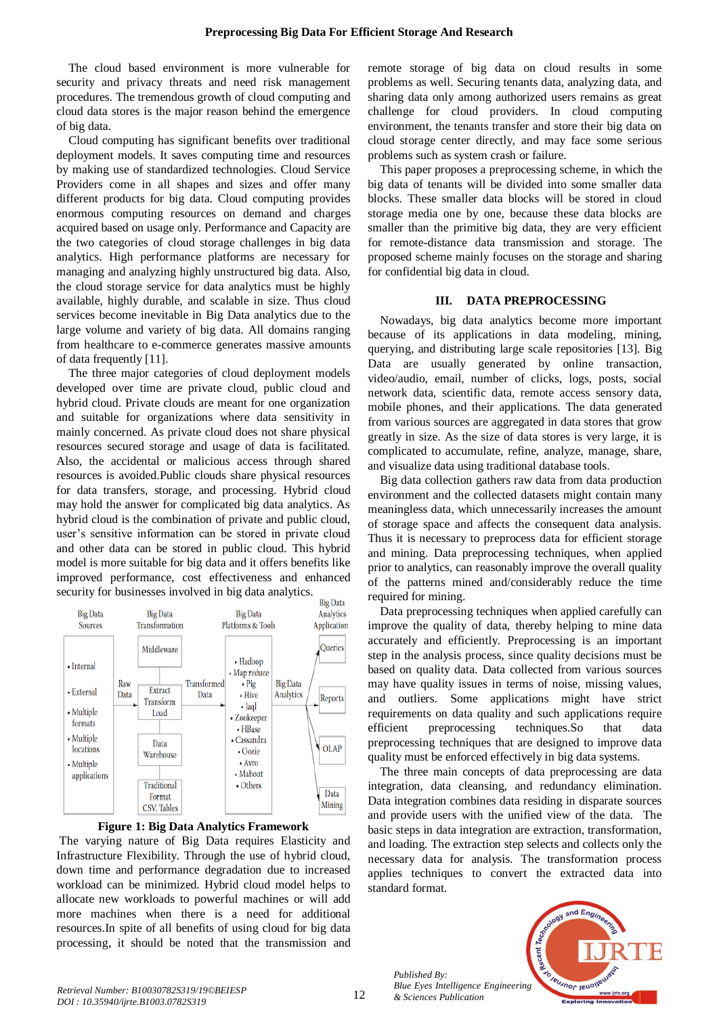The cloud based environment is more vulnerable for security and privacy threats and need risk management procedures. The tremendous growth of cloud computing and cloud data stores is the major reason behind the emergence of big data.

Cloud computing has significant benefits over traditional deployment models. It saves computing time and resources by making use of standardized technologies. Cloud Service Providers come in all shapes and sizes and offer many different products for big data. Cloud computing provides enormous computing resources on demand and charges acquired based on usage only. Performance and Capacity are the two categories of cloud storage challenges in big data analytics. High performance platforms are necessary for managing and analyzing highly unstructured big data. Also, the cloud storage service for data analytics must be highly available, highly durable, and scalable in size. Thus cloud services become inevitable in Big Data analytics due to the large volume and variety of big data. All domains ranging from healthcare to e-commerce generates massive amounts of data frequently [11].

The three major categories of cloud deployment models developed over time are private cloud, public cloud and hybrid cloud. Private clouds are meant for one organization and suitable for organizations where data sensitivity in mainly concerned. As private cloud does not share physical resources secured storage and usage of data is facilitated. Also, the accidental or malicious access through shared resources is avoided.Public clouds share physical resources for data transfers, storage, and processing. Hybrid cloud may hold the answer for complicated big data analytics. As hybrid cloud is the combination of private and public cloud, user's sensitive information can be stored in private cloud and other data can be stored in public cloud. This hybrid model is more suitable for big data and it offers benefits like improved performance, cost effectiveness and enhanced security for businesses involved in big data analytics.





The varying nature of Big Data requires Elasticity and Infrastructure Flexibility. Through the use of hybrid cloud, down time and performance degradation due to increased workload can be minimized. Hybrid cloud model helps to allocate new workloads to powerful machines or will add more machines when there is a need for additional resources.In spite of all benefits of using cloud for big data processing, it should be noted that the transmission and

remote storage of big data on cloud results in some problems as well. Securing tenants data, analyzing data, and sharing data only among authorized users remains as great challenge for cloud providers. In cloud computing environment, the tenants transfer and store their big data on cloud storage center directly, and may face some serious problems such as system crash or failure.

This paper proposes a preprocessing scheme, in which the big data of tenants will be divided into some smaller data blocks. These smaller data blocks will be stored in cloud storage media one by one, because these data blocks are smaller than the primitive big data, they are very efficient for remote-distance data transmission and storage. The proposed scheme mainly focuses on the storage and sharing for confidential big data in cloud.

# **III. DATA PREPROCESSING**

Nowadays, big data analytics become more important because of its applications in data modeling, mining, querying, and distributing large scale repositories [13]. Big Data are usually generated by online transaction, video/audio, email, number of clicks, logs, posts, social network data, scientific data, remote access sensory data, mobile phones, and their applications. The data generated from various sources are aggregated in data stores that grow greatly in size. As the size of data stores is very large, it is complicated to accumulate, refine, analyze, manage, share, and visualize data using traditional database tools.

Big data collection gathers raw data from data production environment and the collected datasets might contain many meaningless data, which unnecessarily increases the amount of storage space and affects the consequent data analysis. Thus it is necessary to preprocess data for efficient storage and mining. Data preprocessing techniques, when applied prior to analytics, can reasonably improve the overall quality of the patterns mined and/considerably reduce the time required for mining.

Data preprocessing techniques when applied carefully can improve the quality of data, thereby helping to mine data accurately and efficiently. Preprocessing is an important step in the analysis process, since quality decisions must be based on quality data. Data collected from various sources may have quality issues in terms of noise, missing values, and outliers. Some applications might have strict requirements on data quality and such applications require efficient preprocessing techniques.So that data preprocessing techniques that are designed to improve data quality must be enforced effectively in big data systems.

The three main concepts of data preprocessing are data integration, data cleansing, and redundancy elimination. Data integration combines data residing in disparate sources and provide users with the unified view of the data. The basic steps in data integration are extraction, transformation, and loading. The extraction step selects and collects only the necessary data for analysis. The transformation process applies techniques to convert the extracted data into standard format.

and Engi Recent 7 TRUJNOF IBUOIN *Blue Eyes Intelligence Engineering*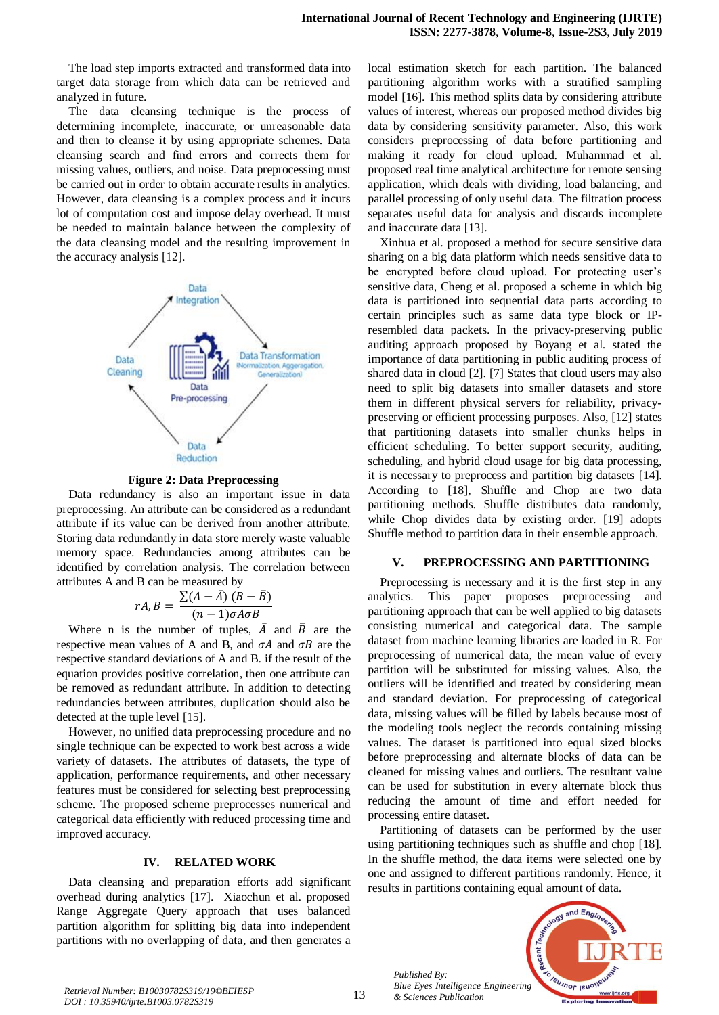The load step imports extracted and transformed data into target data storage from which data can be retrieved and analyzed in future.

The data cleansing technique is the process of determining incomplete, inaccurate, or unreasonable data and then to cleanse it by using appropriate schemes. Data cleansing search and find errors and corrects them for missing values, outliers, and noise. Data preprocessing must be carried out in order to obtain accurate results in analytics. However, data cleansing is a complex process and it incurs lot of computation cost and impose delay overhead. It must be needed to maintain balance between the complexity of the data cleansing model and the resulting improvement in the accuracy analysis [12].



**Figure 2: Data Preprocessing**

Data redundancy is also an important issue in data preprocessing. An attribute can be considered as a redundant attribute if its value can be derived from another attribute. Storing data redundantly in data store merely waste valuable memory space. Redundancies among attributes can be identified by correlation analysis. The correlation between attributes A and B can be measured by

$$
rA, B = \frac{\sum (A - \bar{A}) (B - \bar{B})}{(n - 1)\sigma A \sigma B}
$$

Where n is the number of tuples,  $\overline{A}$  and  $\overline{B}$  are the respective mean values of A and B, and  $\sigma A$  and  $\sigma B$  are the respective standard deviations of A and B. if the result of the equation provides positive correlation, then one attribute can be removed as redundant attribute. In addition to detecting redundancies between attributes, duplication should also be detected at the tuple level [15].

However, no unified data preprocessing procedure and no single technique can be expected to work best across a wide variety of datasets. The attributes of datasets, the type of application, performance requirements, and other necessary features must be considered for selecting best preprocessing scheme. The proposed scheme preprocesses numerical and categorical data efficiently with reduced processing time and improved accuracy.

# **IV. RELATED WORK**

Data cleansing and preparation efforts add significant overhead during analytics [17]. Xiaochun et al. proposed Range Aggregate Query approach that uses balanced partition algorithm for splitting big data into independent partitions with no overlapping of data, and then generates a local estimation sketch for each partition. The balanced partitioning algorithm works with a stratified sampling model [16]. This method splits data by considering attribute values of interest, whereas our proposed method divides big data by considering sensitivity parameter. Also, this work considers preprocessing of data before partitioning and making it ready for cloud upload. Muhammad et al. proposed real time analytical architecture for remote sensing application, which deals with dividing, load balancing, and parallel processing of only useful data. The filtration process separates useful data for analysis and discards incomplete and inaccurate data [13].

Xinhua et al. proposed a method for secure sensitive data sharing on a big data platform which needs sensitive data to be encrypted before cloud upload. For protecting user's sensitive data, Cheng et al. proposed a scheme in which big data is partitioned into sequential data parts according to certain principles such as same data type block or IPresembled data packets. In the privacy-preserving public auditing approach proposed by Boyang et al. stated the importance of data partitioning in public auditing process of shared data in cloud [2]. [7] States that cloud users may also need to split big datasets into smaller datasets and store them in different physical servers for reliability, privacypreserving or efficient processing purposes. Also, [12] states that partitioning datasets into smaller chunks helps in efficient scheduling. To better support security, auditing, scheduling, and hybrid cloud usage for big data processing, it is necessary to preprocess and partition big datasets [14]. According to [18], Shuffle and Chop are two data partitioning methods. Shuffle distributes data randomly, while Chop divides data by existing order. [19] adopts Shuffle method to partition data in their ensemble approach.

#### **V. PREPROCESSING AND PARTITIONING**

Preprocessing is necessary and it is the first step in any analytics. This paper proposes preprocessing and partitioning approach that can be well applied to big datasets consisting numerical and categorical data. The sample dataset from machine learning libraries are loaded in R. For preprocessing of numerical data, the mean value of every partition will be substituted for missing values. Also, the outliers will be identified and treated by considering mean and standard deviation. For preprocessing of categorical data, missing values will be filled by labels because most of the modeling tools neglect the records containing missing values. The dataset is partitioned into equal sized blocks before preprocessing and alternate blocks of data can be cleaned for missing values and outliers. The resultant value can be used for substitution in every alternate block thus reducing the amount of time and effort needed for processing entire dataset.

Partitioning of datasets can be performed by the user using partitioning techniques such as shuffle and chop [18]. In the shuffle method, the data items were selected one by one and assigned to different partitions randomly. Hence, it results in partitions containing equal amount of data.

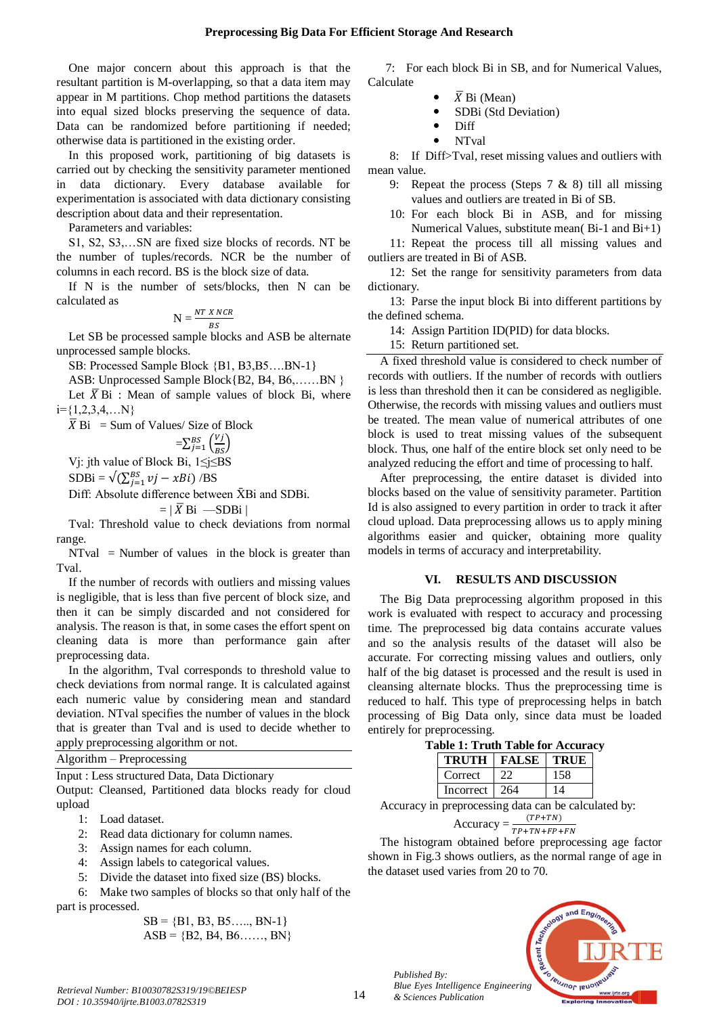One major concern about this approach is that the resultant partition is M-overlapping, so that a data item may appear in M partitions. Chop method partitions the datasets into equal sized blocks preserving the sequence of data. Data can be randomized before partitioning if needed; otherwise data is partitioned in the existing order.

In this proposed work, partitioning of big datasets is carried out by checking the sensitivity parameter mentioned in data dictionary. Every database available for experimentation is associated with data dictionary consisting description about data and their representation.

Parameters and variables:

S1, S2, S3,…SN are fixed size blocks of records. NT be the number of tuples/records. NCR be the number of columns in each record. BS is the block size of data.

If N is the number of sets/blocks, then N can be calculated as

$$
N = \frac{NT \times NCR}{BS}
$$

Let SB be processed sample blocks and ASB be alternate unprocessed sample blocks.

SB: Processed Sample Block {B1, B3,B5….BN-1}

ASB: Unprocessed Sample Block{B2, B4, B6,……BN }

Let  $\overline{X}$  Bi : Mean of sample values of block Bi, where  $i = \{1,2,3,4,...N\}$ 

 $\overline{X}$  Bi = Sum of Values/ Size of Block

$$
=\sum_{j=1}^{BS} \left(\frac{Vj}{BS}\right)
$$
  
Vi: jth value of Block Bi, 1 \le j \le BS

 $SDBi = \sqrt{\left(\sum_{j=1}^{BS} vj - xBi\right)/BS}$ 

Diff: Absolute difference between  $\bar{X}$ Bi and SDBi.

 $= |\overline{X}$  Bi —SDBi |

Tval: Threshold value to check deviations from normal range.

 $NTval$  = Number of values in the block is greater than Tval.

If the number of records with outliers and missing values is negligible, that is less than five percent of block size, and then it can be simply discarded and not considered for analysis. The reason is that, in some cases the effort spent on cleaning data is more than performance gain after preprocessing data.

In the algorithm, Tval corresponds to threshold value to check deviations from normal range. It is calculated against each numeric value by considering mean and standard deviation. NTval specifies the number of values in the block that is greater than Tval and is used to decide whether to apply preprocessing algorithm or not.

Algorithm – Preprocessing

Input : Less structured Data, Data Dictionary

Output: Cleansed, Partitioned data blocks ready for cloud upload

- 1: Load dataset.
- 2: Read data dictionary for column names.
- 3: Assign names for each column.
- 4: Assign labels to categorical values.
- 5: Divide the dataset into fixed size (BS) blocks.

6: Make two samples of blocks so that only half of the part is processed.

> $SB = \{B1, B3, B5, \ldots, BN-1\}$  $\text{ASB} = \{\text{B2}, \text{B4}, \text{B6} \dots, \text{BN}\}\$

 7: For each block Bi in SB, and for Numerical Values, Calculate

- $\overline{X}$  Bi (Mean)
- SDBi (Std Deviation)
- Diff
- NTval

8: If Diff>Tval, reset missing values and outliers with mean value.

- 9: Repeat the process (Steps 7 & 8) till all missing values and outliers are treated in Bi of SB.
- 10: For each block Bi in ASB, and for missing Numerical Values, substitute mean( Bi-1 and Bi+1)

11: Repeat the process till all missing values and outliers are treated in Bi of ASB.

12: Set the range for sensitivity parameters from data dictionary.

13: Parse the input block Bi into different partitions by the defined schema.

14: Assign Partition ID(PID) for data blocks.

15: Return partitioned set.

A fixed threshold value is considered to check number of records with outliers. If the number of records with outliers is less than threshold then it can be considered as negligible. Otherwise, the records with missing values and outliers must be treated. The mean value of numerical attributes of one block is used to treat missing values of the subsequent block. Thus, one half of the entire block set only need to be analyzed reducing the effort and time of processing to half.

After preprocessing, the entire dataset is divided into blocks based on the value of sensitivity parameter. Partition Id is also assigned to every partition in order to track it after cloud upload. Data preprocessing allows us to apply mining algorithms easier and quicker, obtaining more quality models in terms of accuracy and interpretability.

# **VI. RESULTS AND DISCUSSION**

The Big Data preprocessing algorithm proposed in this work is evaluated with respect to accuracy and processing time. The preprocessed big data contains accurate values and so the analysis results of the dataset will also be accurate. For correcting missing values and outliers, only half of the big dataset is processed and the result is used in cleansing alternate blocks. Thus the preprocessing time is reduced to half. This type of preprocessing helps in batch processing of Big Data only, since data must be loaded entirely for preprocessing.

| <b>Table 1: Truth Table for Accuracy</b> |                             |      |     |  |  |  |
|------------------------------------------|-----------------------------|------|-----|--|--|--|
|                                          | <b>TRUTH   FALSE   TRUE</b> |      |     |  |  |  |
|                                          | Correct                     | -22. | 158 |  |  |  |
|                                          | Incorrect   264             |      | 14  |  |  |  |

Accuracy in preprocessing data can be calculated by:

# Accuracy =  $\frac{1}{T}$

The histogram obtained before preprocessing age factor shown in Fig.3 shows outliers, as the normal range of age in the dataset used varies from 20 to 70.

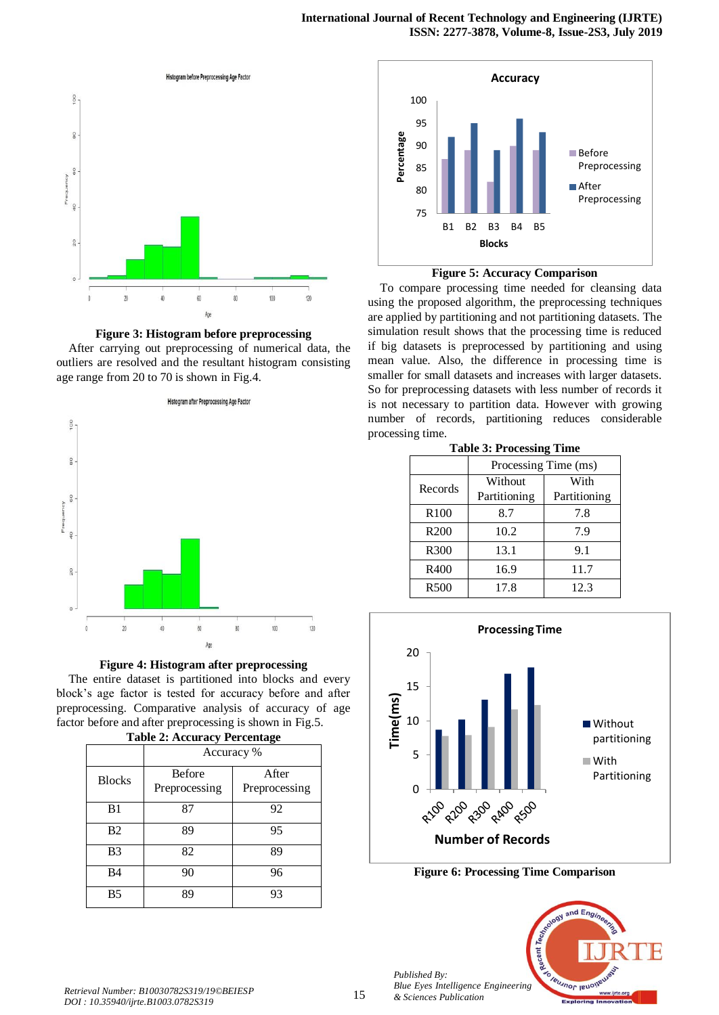



After carrying out preprocessing of numerical data, the outliers are resolved and the resultant histogram consisting age range from 20 to 70 is shown in Fig.4.





The entire dataset is partitioned into blocks and every block's age factor is tested for accuracy before and after preprocessing. Comparative analysis of accuracy of age factor before and after preprocessing is shown in Fig.5. **Table 2: Accuracy Percentage**

| Table 2. Accuracy I creditage |                                |                        |  |  |  |  |
|-------------------------------|--------------------------------|------------------------|--|--|--|--|
|                               | Accuracy %                     |                        |  |  |  |  |
| <b>Blocks</b>                 | <b>Before</b><br>Preprocessing | After<br>Preprocessing |  |  |  |  |
| B1                            | 87                             | 92                     |  |  |  |  |
| B <sub>2</sub>                | 89                             | 95                     |  |  |  |  |
| B <sub>3</sub>                | 82                             | 89                     |  |  |  |  |
| B4                            | 90                             | 96                     |  |  |  |  |
| B <sub>5</sub>                | 89                             | 93                     |  |  |  |  |





To compare processing time needed for cleansing data using the proposed algorithm, the preprocessing techniques are applied by partitioning and not partitioning datasets. The simulation result shows that the processing time is reduced if big datasets is preprocessed by partitioning and using mean value. Also, the difference in processing time is smaller for small datasets and increases with larger datasets. So for preprocessing datasets with less number of records it is not necessary to partition data. However with growing number of records, partitioning reduces considerable processing time.

|  | <b>Table 3: Processing Time</b> |
|--|---------------------------------|
|--|---------------------------------|

|                  | Processing Time (ms) |              |  |  |
|------------------|----------------------|--------------|--|--|
| Records          | Without              | With         |  |  |
|                  | Partitioning         | Partitioning |  |  |
| R <sub>100</sub> | 8.7                  | 7.8          |  |  |
| R <sub>200</sub> | 10.2                 | 7.9          |  |  |
| R <sub>300</sub> | 13.1                 | 9.1          |  |  |
| R400             | 16.9                 | 11.7         |  |  |
| R <sub>500</sub> | 17.8                 | 12.3         |  |  |



**Figure 6: Processing Time Comparison**